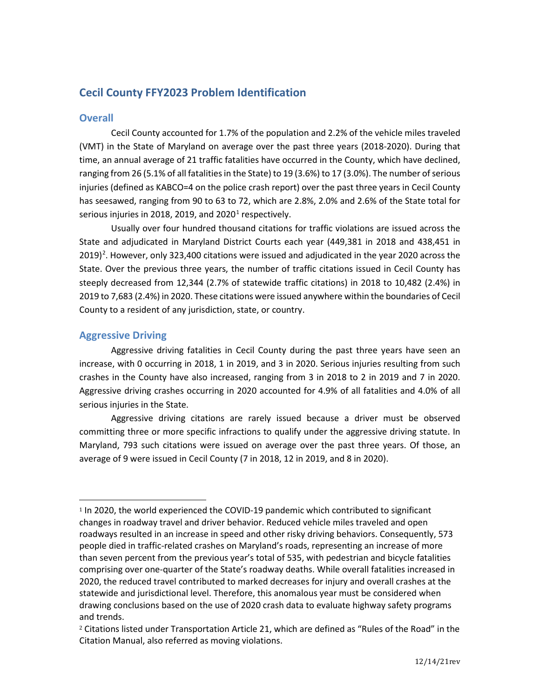# **Cecil County FFY2023 Problem Identification**

# **Overall**

Cecil County accounted for 1.7% of the population and 2.2% of the vehicle miles traveled (VMT) in the State of Maryland on average over the past three years (2018-2020). During that time, an annual average of 21 traffic fatalities have occurred in the County, which have declined, ranging from 26 (5.1% of all fatalities in the State) to 19 (3.6%) to 17 (3.0%). The number of serious injuries (defined as KABCO=4 on the police crash report) over the past three years in Cecil County has seesawed, ranging from 90 to 63 to 72, which are 2.8%, 2.0% and 2.6% of the State total for serious injuries in 20[1](#page-0-0)8, 2019, and 2020<sup>1</sup> respectively.

Usually over four hundred thousand citations for traffic violations are issued across the State and adjudicated in Maryland District Courts each year (449,381 in 2018 and 438,451 in [2](#page-0-1)019)<sup>2</sup>. However, only 323,400 citations were issued and adjudicated in the year 2020 across the State. Over the previous three years, the number of traffic citations issued in Cecil County has steeply decreased from 12,344 (2.7% of statewide traffic citations) in 2018 to 10,482 (2.4%) in 2019 to 7,683 (2.4%) in 2020. These citations were issued anywhere within the boundaries of Cecil County to a resident of any jurisdiction, state, or country.

# **Aggressive Driving**

Aggressive driving fatalities in Cecil County during the past three years have seen an increase, with 0 occurring in 2018, 1 in 2019, and 3 in 2020. Serious injuries resulting from such crashes in the County have also increased, ranging from 3 in 2018 to 2 in 2019 and 7 in 2020. Aggressive driving crashes occurring in 2020 accounted for 4.9% of all fatalities and 4.0% of all serious injuries in the State.

Aggressive driving citations are rarely issued because a driver must be observed committing three or more specific infractions to qualify under the aggressive driving statute. In Maryland, 793 such citations were issued on average over the past three years. Of those, an average of 9 were issued in Cecil County (7 in 2018, 12 in 2019, and 8 in 2020).

<span id="page-0-0"></span><sup>1</sup> In 2020, the world experienced the COVID-19 pandemic which contributed to significant changes in roadway travel and driver behavior. Reduced vehicle miles traveled and open roadways resulted in an increase in speed and other risky driving behaviors. Consequently, 573 people died in traffic-related crashes on Maryland's roads, representing an increase of more than seven percent from the previous year's total of 535, with pedestrian and bicycle fatalities comprising over one-quarter of the State's roadway deaths. While overall fatalities increased in 2020, the reduced travel contributed to marked decreases for injury and overall crashes at the statewide and jurisdictional level. Therefore, this anomalous year must be considered when drawing conclusions based on the use of 2020 crash data to evaluate highway safety programs and trends.

<span id="page-0-1"></span><sup>2</sup> Citations listed under Transportation Article 21, which are defined as "Rules of the Road" in the Citation Manual, also referred as moving violations.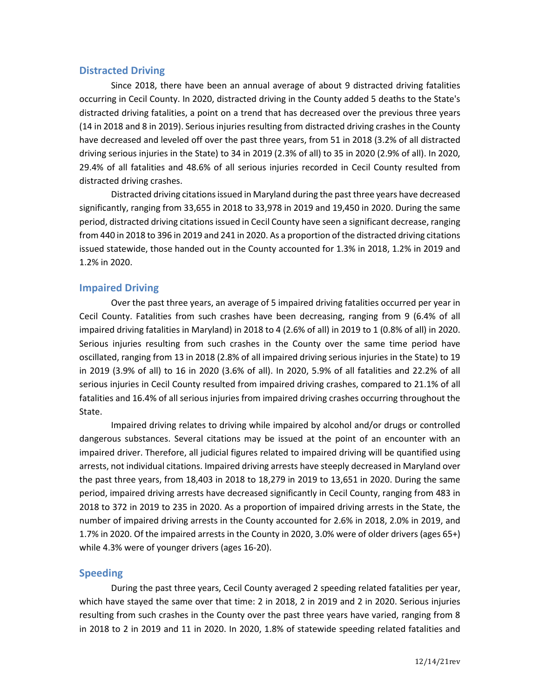### **Distracted Driving**

Since 2018, there have been an annual average of about 9 distracted driving fatalities occurring in Cecil County. In 2020, distracted driving in the County added 5 deaths to the State's distracted driving fatalities, a point on a trend that has decreased over the previous three years (14 in 2018 and 8 in 2019). Serious injuries resulting from distracted driving crashes in the County have decreased and leveled off over the past three years, from 51 in 2018 (3.2% of all distracted driving serious injuries in the State) to 34 in 2019 (2.3% of all) to 35 in 2020 (2.9% of all). In 2020, 29.4% of all fatalities and 48.6% of all serious injuries recorded in Cecil County resulted from distracted driving crashes.

Distracted driving citations issued in Maryland during the past three years have decreased significantly, ranging from 33,655 in 2018 to 33,978 in 2019 and 19,450 in 2020. During the same period, distracted driving citations issued in Cecil County have seen a significant decrease, ranging from 440 in 2018 to 396 in 2019 and 241 in 2020. As a proportion of the distracted driving citations issued statewide, those handed out in the County accounted for 1.3% in 2018, 1.2% in 2019 and 1.2% in 2020.

# **Impaired Driving**

Over the past three years, an average of 5 impaired driving fatalities occurred per year in Cecil County. Fatalities from such crashes have been decreasing, ranging from 9 (6.4% of all impaired driving fatalities in Maryland) in 2018 to 4 (2.6% of all) in 2019 to 1 (0.8% of all) in 2020. Serious injuries resulting from such crashes in the County over the same time period have oscillated, ranging from 13 in 2018 (2.8% of all impaired driving serious injuries in the State) to 19 in 2019 (3.9% of all) to 16 in 2020 (3.6% of all). In 2020, 5.9% of all fatalities and 22.2% of all serious injuries in Cecil County resulted from impaired driving crashes, compared to 21.1% of all fatalities and 16.4% of all serious injuries from impaired driving crashes occurring throughout the State.

Impaired driving relates to driving while impaired by alcohol and/or drugs or controlled dangerous substances. Several citations may be issued at the point of an encounter with an impaired driver. Therefore, all judicial figures related to impaired driving will be quantified using arrests, not individual citations. Impaired driving arrests have steeply decreased in Maryland over the past three years, from 18,403 in 2018 to 18,279 in 2019 to 13,651 in 2020. During the same period, impaired driving arrests have decreased significantly in Cecil County, ranging from 483 in 2018 to 372 in 2019 to 235 in 2020. As a proportion of impaired driving arrests in the State, the number of impaired driving arrests in the County accounted for 2.6% in 2018, 2.0% in 2019, and 1.7% in 2020. Of the impaired arrests in the County in 2020, 3.0% were of older drivers (ages 65+) while 4.3% were of younger drivers (ages 16-20).

# **Speeding**

During the past three years, Cecil County averaged 2 speeding related fatalities per year, which have stayed the same over that time: 2 in 2018, 2 in 2019 and 2 in 2020. Serious injuries resulting from such crashes in the County over the past three years have varied, ranging from 8 in 2018 to 2 in 2019 and 11 in 2020. In 2020, 1.8% of statewide speeding related fatalities and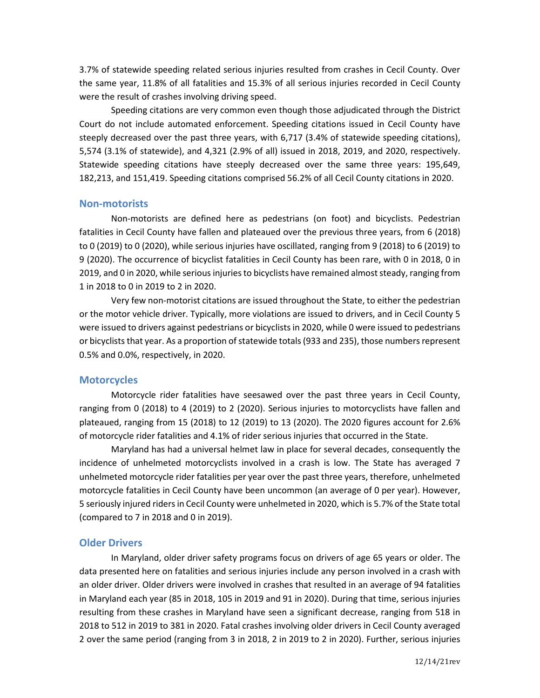3.7% of statewide speeding related serious injuries resulted from crashes in Cecil County. Over the same year, 11.8% of all fatalities and 15.3% of all serious injuries recorded in Cecil County were the result of crashes involving driving speed.

Speeding citations are very common even though those adjudicated through the District Court do not include automated enforcement. Speeding citations issued in Cecil County have steeply decreased over the past three years, with 6,717 (3.4% of statewide speeding citations), 5,574 (3.1% of statewide), and 4,321 (2.9% of all) issued in 2018, 2019, and 2020, respectively. Statewide speeding citations have steeply decreased over the same three years: 195,649, 182,213, and 151,419. Speeding citations comprised 56.2% of all Cecil County citations in 2020.

#### **Non-motorists**

Non-motorists are defined here as pedestrians (on foot) and bicyclists. Pedestrian fatalities in Cecil County have fallen and plateaued over the previous three years, from 6 (2018) to 0 (2019) to 0 (2020), while serious injuries have oscillated, ranging from 9 (2018) to 6 (2019) to 9 (2020). The occurrence of bicyclist fatalities in Cecil County has been rare, with 0 in 2018, 0 in 2019, and 0 in 2020, while serious injuries to bicyclists have remained almost steady, ranging from 1 in 2018 to 0 in 2019 to 2 in 2020.

Very few non-motorist citations are issued throughout the State, to either the pedestrian or the motor vehicle driver. Typically, more violations are issued to drivers, and in Cecil County 5 were issued to drivers against pedestrians or bicyclists in 2020, while 0 were issued to pedestrians or bicyclists that year. As a proportion of statewide totals (933 and 235), those numbers represent 0.5% and 0.0%, respectively, in 2020.

#### **Motorcycles**

Motorcycle rider fatalities have seesawed over the past three years in Cecil County, ranging from 0 (2018) to 4 (2019) to 2 (2020). Serious injuries to motorcyclists have fallen and plateaued, ranging from 15 (2018) to 12 (2019) to 13 (2020). The 2020 figures account for 2.6% of motorcycle rider fatalities and 4.1% of rider serious injuries that occurred in the State.

Maryland has had a universal helmet law in place for several decades, consequently the incidence of unhelmeted motorcyclists involved in a crash is low. The State has averaged 7 unhelmeted motorcycle rider fatalities per year over the past three years, therefore, unhelmeted motorcycle fatalities in Cecil County have been uncommon (an average of 0 per year). However, 5 seriously injured riders in Cecil County were unhelmeted in 2020, which is 5.7% of the State total (compared to 7 in 2018 and 0 in 2019).

#### **Older Drivers**

In Maryland, older driver safety programs focus on drivers of age 65 years or older. The data presented here on fatalities and serious injuries include any person involved in a crash with an older driver. Older drivers were involved in crashes that resulted in an average of 94 fatalities in Maryland each year (85 in 2018, 105 in 2019 and 91 in 2020). During that time, serious injuries resulting from these crashes in Maryland have seen a significant decrease, ranging from 518 in 2018 to 512 in 2019 to 381 in 2020. Fatal crashes involving older drivers in Cecil County averaged 2 over the same period (ranging from 3 in 2018, 2 in 2019 to 2 in 2020). Further, serious injuries